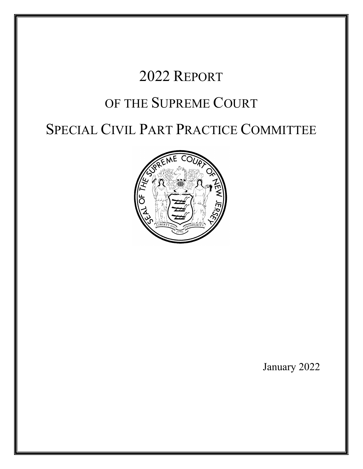# 2022 REPORT

# OF THE SUPREME COURT

# SPECIAL CIVIL PART PRACTICE COMMITTEE



January 2022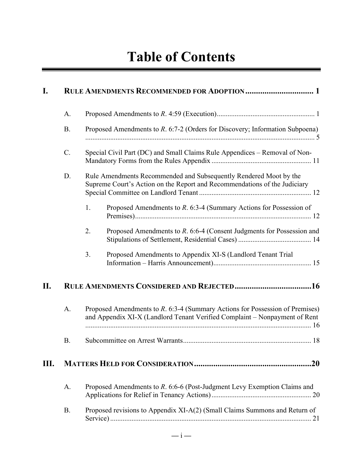| I.  |           |    |                                                                                                                                                            |
|-----|-----------|----|------------------------------------------------------------------------------------------------------------------------------------------------------------|
|     | A.        |    |                                                                                                                                                            |
|     | <b>B.</b> |    | Proposed Amendments to R. 6:7-2 (Orders for Discovery; Information Subpoena)                                                                               |
|     | C.        |    | Special Civil Part (DC) and Small Claims Rule Appendices - Removal of Non-                                                                                 |
|     | D.        |    | Rule Amendments Recommended and Subsequently Rendered Moot by the<br>Supreme Court's Action on the Report and Recommendations of the Judiciary             |
|     |           | 1. | Proposed Amendments to $R$ . 6:3-4 (Summary Actions for Possession of                                                                                      |
|     |           | 2. | Proposed Amendments to R. 6:6-4 (Consent Judgments for Possession and                                                                                      |
|     |           | 3. | Proposed Amendments to Appendix XI-S (Landlord Tenant Trial                                                                                                |
| II. |           |    |                                                                                                                                                            |
|     | A.        |    | Proposed Amendments to R. 6:3-4 (Summary Actions for Possession of Premises)<br>and Appendix XI-X (Landlord Tenant Verified Complaint - Nonpayment of Rent |
|     | <b>B.</b> |    |                                                                                                                                                            |
| Ш.  |           |    | .20                                                                                                                                                        |
|     | A.        |    | Proposed Amendments to R. 6:6-6 (Post-Judgment Levy Exemption Claims and                                                                                   |
|     | <b>B.</b> |    | Proposed revisions to Appendix XI-A(2) (Small Claims Summons and Return of                                                                                 |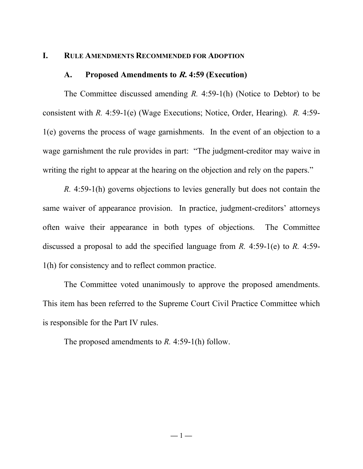#### <span id="page-3-1"></span><span id="page-3-0"></span>**I. RULE AMENDMENTS RECOMMENDED FOR ADOPTION**

#### **A. Proposed Amendments to R. 4:59 (Execution)**

The Committee discussed amending *R.* 4:59-1(h) (Notice to Debtor) to be consistent with *R.* 4:59-1(e) (Wage Executions; Notice, Order, Hearing). *R.* 4:59- 1(e) governs the process of wage garnishments. In the event of an objection to a wage garnishment the rule provides in part: "The judgment-creditor may waive in writing the right to appear at the hearing on the objection and rely on the papers."

*R.* 4:59-1(h) governs objections to levies generally but does not contain the same waiver of appearance provision. In practice, judgment-creditors' attorneys often waive their appearance in both types of objections. The Committee discussed a proposal to add the specified language from *R.* 4:59-1(e) to *R.* 4:59- 1(h) for consistency and to reflect common practice.

The Committee voted unanimously to approve the proposed amendments. This item has been referred to the Supreme Court Civil Practice Committee which is responsible for the Part IV rules.

The proposed amendments to *R.* 4:59-1(h) follow.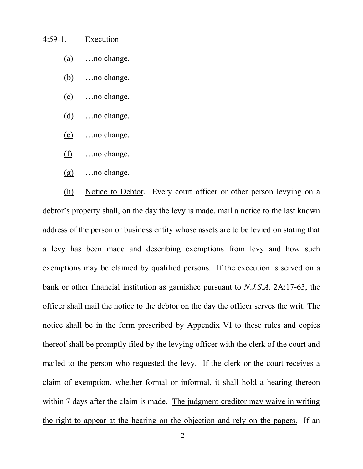## 4:59-1. Execution

- (a) …no change.
- (b) …no change.
- (c) …no change.
- (d) …no change.
- (e) …no change.
- (f) …no change.
- (g) …no change.

(h) Notice to Debtor. Every court officer or other person levying on a debtor's property shall, on the day the levy is made, mail a notice to the last known address of the person or business entity whose assets are to be levied on stating that a levy has been made and describing exemptions from levy and how such exemptions may be claimed by qualified persons. If the execution is served on a bank or other financial institution as garnishee pursuant to *N.J.S.A*. 2A:17-63, the officer shall mail the notice to the debtor on the day the officer serves the writ. The notice shall be in the form prescribed by Appendix VI to these rules and copies thereof shall be promptly filed by the levying officer with the clerk of the court and mailed to the person who requested the levy. If the clerk or the court receives a claim of exemption, whether formal or informal, it shall hold a hearing thereon within 7 days after the claim is made. The judgment-creditor may waive in writing the right to appear at the hearing on the objection and rely on the papers. If an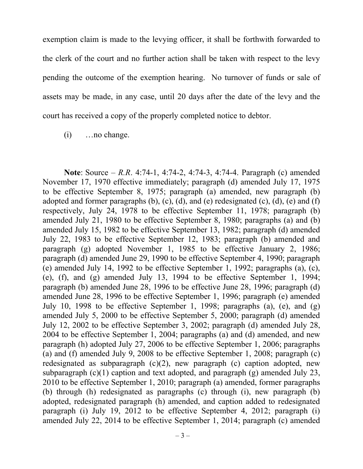exemption claim is made to the levying officer, it shall be forthwith forwarded to the clerk of the court and no further action shall be taken with respect to the levy pending the outcome of the exemption hearing. No turnover of funds or sale of assets may be made, in any case, until 20 days after the date of the levy and the court has received a copy of the properly completed notice to debtor.

(i) …no change.

**Note**: Source – *R.R*. 4:74-1, 4:74-2, 4:74-3, 4:74-4. Paragraph (c) amended November 17, 1970 effective immediately; paragraph (d) amended July 17, 1975 to be effective September 8, 1975; paragraph (a) amended, new paragraph (b) adopted and former paragraphs  $(b)$ ,  $(c)$ ,  $(d)$ , and  $(e)$  redesignated  $(c)$ ,  $(d)$ ,  $(e)$  and  $(f)$ respectively, July 24, 1978 to be effective September 11, 1978; paragraph (b) amended July 21, 1980 to be effective September 8, 1980; paragraphs (a) and (b) amended July 15, 1982 to be effective September 13, 1982; paragraph (d) amended July 22, 1983 to be effective September 12, 1983; paragraph (b) amended and paragraph (g) adopted November 1, 1985 to be effective January 2, 1986; paragraph (d) amended June 29, 1990 to be effective September 4, 1990; paragraph (e) amended July 14, 1992 to be effective September 1, 1992; paragraphs (a), (c), (e), (f), and (g) amended July 13, 1994 to be effective September 1, 1994; paragraph (b) amended June 28, 1996 to be effective June 28, 1996; paragraph (d) amended June 28, 1996 to be effective September 1, 1996; paragraph (e) amended July 10, 1998 to be effective September 1, 1998; paragraphs (a), (e), and (g) amended July 5, 2000 to be effective September 5, 2000; paragraph (d) amended July 12, 2002 to be effective September 3, 2002; paragraph (d) amended July 28, 2004 to be effective September 1, 2004; paragraphs (a) and (d) amended, and new paragraph (h) adopted July 27, 2006 to be effective September 1, 2006; paragraphs (a) and (f) amended July 9, 2008 to be effective September 1, 2008; paragraph (c) redesignated as subparagraph  $(c)(2)$ , new paragraph  $(c)$  caption adopted, new subparagraph  $(c)(1)$  caption and text adopted, and paragraph  $(g)$  amended July 23, 2010 to be effective September 1, 2010; paragraph (a) amended, former paragraphs (b) through (h) redesignated as paragraphs (c) through (i), new paragraph (b) adopted, redesignated paragraph (h) amended, and caption added to redesignated paragraph (i) July 19, 2012 to be effective September 4, 2012; paragraph (i) amended July 22, 2014 to be effective September 1, 2014; paragraph (c) amended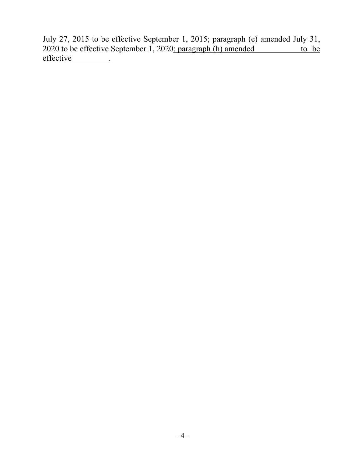July 27, 2015 to be effective September 1, 2015; paragraph (e) amended July 31,  $2020$  to be effective September 1, 2020; paragraph (h) amended to be effective ...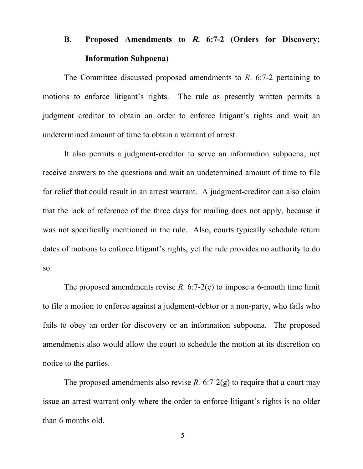# <span id="page-7-0"></span>**B. Proposed Amendments to R. 6:7-2 (Orders for Discovery; Information Subpoena)**

The Committee discussed proposed amendments to *R*. 6:7-2 pertaining to motions to enforce litigant's rights. The rule as presently written permits a judgment creditor to obtain an order to enforce litigant's rights and wait an undetermined amount of time to obtain a warrant of arrest.

It also permits a judgment-creditor to serve an information subpoena, not receive answers to the questions and wait an undetermined amount of time to file for relief that could result in an arrest warrant. A judgment-creditor can also claim that the lack of reference of the three days for mailing does not apply, because it was not specifically mentioned in the rule. Also, courts typically schedule return dates of motions to enforce litigant's rights, yet the rule provides no authority to do so.

The proposed amendments revise *R*. 6:7-2(e) to impose a 6-month time limit to file a motion to enforce against a judgment-debtor or a non-party, who fails who fails to obey an order for discovery or an information subpoena. The proposed amendments also would allow the court to schedule the motion at its discretion on notice to the parties.

The proposed amendments also revise  $R$ . 6:7-2(g) to require that a court may issue an arrest warrant only where the order to enforce litigant's rights is no older than 6 months old.

 $-5-$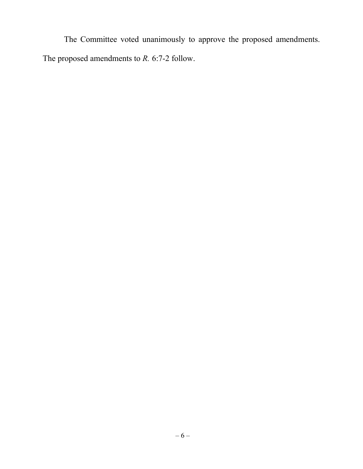The Committee voted unanimously to approve the proposed amendments. The proposed amendments to *R.* 6:7-2 follow.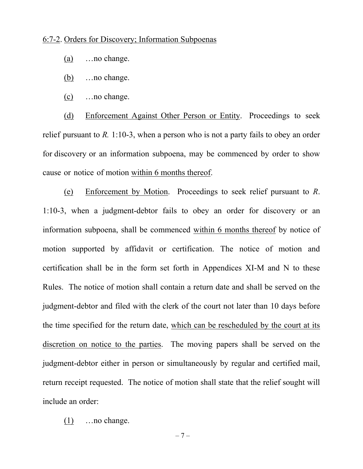## 6:7-2. Orders for Discovery; Information Subpoenas

- (a) …no change.
- (b) …no change.
- (c) …no change.

(d) Enforcement Against Other Person or Entity. Proceedings to seek relief pursuant to *R.* 1:10-3, when a person who is not a party fails to obey an order for discovery or an information subpoena, may be commenced by order to show cause or notice of motion within 6 months thereof.

(e) Enforcement by Motion. Proceedings to seek relief pursuant to *R*. 1:10-3, when a judgment-debtor fails to obey an order for discovery or an information subpoena, shall be commenced within 6 months thereof by notice of motion supported by affidavit or certification. The notice of motion and certification shall be in the form set forth in Appendices XI-M and N to these Rules. The notice of motion shall contain a return date and shall be served on the judgment-debtor and filed with the clerk of the court not later than 10 days before the time specified for the return date, which can be rescheduled by the court at its discretion on notice to the parties. The moving papers shall be served on the judgment-debtor either in person or simultaneously by regular and certified mail, return receipt requested. The notice of motion shall state that the relief sought will include an order:

(1) …no change.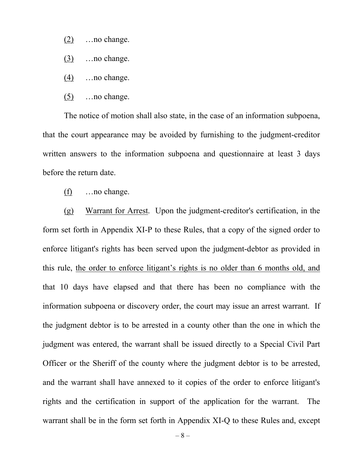- (2) …no change.
- (3) …no change.
- (4) …no change.
- (5) …no change.

The notice of motion shall also state, in the case of an information subpoena, that the court appearance may be avoided by furnishing to the judgment-creditor written answers to the information subpoena and questionnaire at least 3 days before the return date.

(f) …no change.

(g) Warrant for Arrest. Upon the judgment-creditor's certification, in the form set forth in Appendix XI-P to these Rules, that a copy of the signed order to enforce litigant's rights has been served upon the judgment-debtor as provided in this rule, the order to enforce litigant's rights is no older than 6 months old, and that 10 days have elapsed and that there has been no compliance with the information subpoena or discovery order, the court may issue an arrest warrant. If the judgment debtor is to be arrested in a county other than the one in which the judgment was entered, the warrant shall be issued directly to a Special Civil Part Officer or the Sheriff of the county where the judgment debtor is to be arrested, and the warrant shall have annexed to it copies of the order to enforce litigant's rights and the certification in support of the application for the warrant. The warrant shall be in the form set forth in Appendix XI-Q to these Rules and, except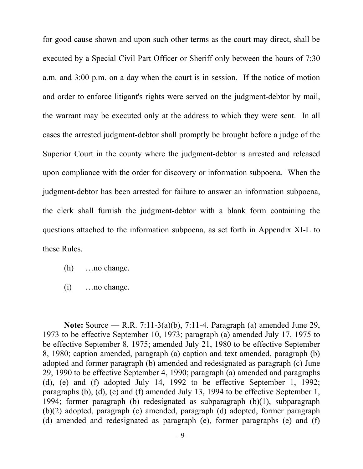for good cause shown and upon such other terms as the court may direct, shall be executed by a Special Civil Part Officer or Sheriff only between the hours of 7:30 a.m. and 3:00 p.m. on a day when the court is in session. If the notice of motion and order to enforce litigant's rights were served on the judgment-debtor by mail, the warrant may be executed only at the address to which they were sent. In all cases the arrested judgment-debtor shall promptly be brought before a judge of the Superior Court in the county where the judgment-debtor is arrested and released upon compliance with the order for discovery or information subpoena. When the judgment-debtor has been arrested for failure to answer an information subpoena, the clerk shall furnish the judgment-debtor with a blank form containing the questions attached to the information subpoena, as set forth in Appendix XI-L to these Rules.

- $(h)$  …no change.
- (i) …no change.

**Note:** Source — R.R. 7:11-3(a)(b), 7:11-4. Paragraph (a) amended June 29, 1973 to be effective September 10, 1973; paragraph (a) amended July 17, 1975 to be effective September 8, 1975; amended July 21, 1980 to be effective September 8, 1980; caption amended, paragraph (a) caption and text amended, paragraph (b) adopted and former paragraph (b) amended and redesignated as paragraph (c) June 29, 1990 to be effective September 4, 1990; paragraph (a) amended and paragraphs (d), (e) and (f) adopted July 14, 1992 to be effective September 1, 1992; paragraphs (b), (d), (e) and (f) amended July 13, 1994 to be effective September 1, 1994; former paragraph (b) redesignated as subparagraph (b)(1), subparagraph (b)(2) adopted, paragraph (c) amended, paragraph (d) adopted, former paragraph (d) amended and redesignated as paragraph (e), former paragraphs (e) and (f)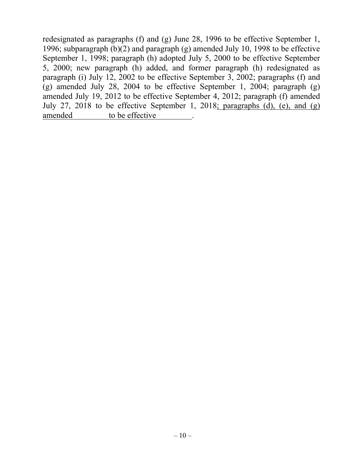redesignated as paragraphs (f) and (g) June 28, 1996 to be effective September 1, 1996; subparagraph (b)(2) and paragraph (g) amended July 10, 1998 to be effective September 1, 1998; paragraph (h) adopted July 5, 2000 to be effective September 5, 2000; new paragraph (h) added, and former paragraph (h) redesignated as paragraph (i) July 12, 2002 to be effective September 3, 2002; paragraphs (f) and (g) amended July 28, 2004 to be effective September 1, 2004; paragraph (g) amended July 19, 2012 to be effective September 4, 2012; paragraph (f) amended July 27, 2018 to be effective September 1, 2018; paragraphs (d), (e), and (g) amended to be effective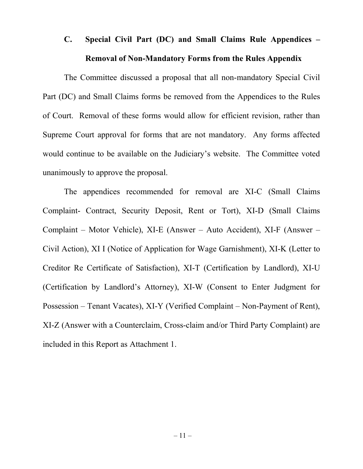# <span id="page-13-0"></span>**C. Special Civil Part (DC) and Small Claims Rule Appendices – Removal of Non-Mandatory Forms from the Rules Appendix**

The Committee discussed a proposal that all non-mandatory Special Civil Part (DC) and Small Claims forms be removed from the Appendices to the Rules of Court. Removal of these forms would allow for efficient revision, rather than Supreme Court approval for forms that are not mandatory. Any forms affected would continue to be available on the Judiciary's website. The Committee voted unanimously to approve the proposal.

The appendices recommended for removal are XI-C (Small Claims Complaint- Contract, Security Deposit, Rent or Tort), XI-D (Small Claims Complaint – Motor Vehicle), XI-E (Answer – Auto Accident), XI-F (Answer – Civil Action), XI I (Notice of Application for Wage Garnishment), XI-K (Letter to Creditor Re Certificate of Satisfaction), XI-T (Certification by Landlord), XI-U (Certification by Landlord's Attorney), XI-W (Consent to Enter Judgment for Possession – Tenant Vacates), XI-Y (Verified Complaint – Non-Payment of Rent), XI-Z (Answer with a Counterclaim, Cross-claim and/or Third Party Complaint) are included in this Report as Attachment 1.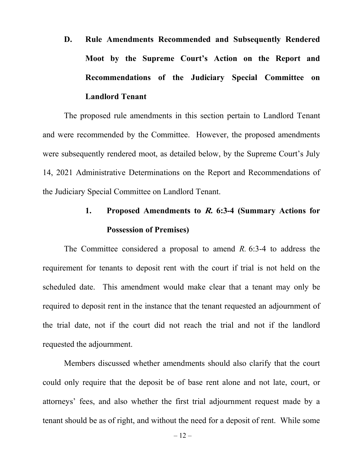<span id="page-14-0"></span>**D. Rule Amendments Recommended and Subsequently Rendered Moot by the Supreme Court's Action on the Report and Recommendations of the Judiciary Special Committee on Landlord Tenant**

The proposed rule amendments in this section pertain to Landlord Tenant and were recommended by the Committee. However, the proposed amendments were subsequently rendered moot, as detailed below, by the Supreme Court's July 14, 2021 Administrative Determinations on the Report and Recommendations of the Judiciary Special Committee on Landlord Tenant.

# **1. Proposed Amendments to R. 6:3-4 (Summary Actions for Possession of Premises)**

<span id="page-14-1"></span>The Committee considered a proposal to amend *R.* 6:3-4 to address the requirement for tenants to deposit rent with the court if trial is not held on the scheduled date. This amendment would make clear that a tenant may only be required to deposit rent in the instance that the tenant requested an adjournment of the trial date, not if the court did not reach the trial and not if the landlord requested the adjournment.

Members discussed whether amendments should also clarify that the court could only require that the deposit be of base rent alone and not late, court, or attorneys' fees, and also whether the first trial adjournment request made by a tenant should be as of right, and without the need for a deposit of rent. While some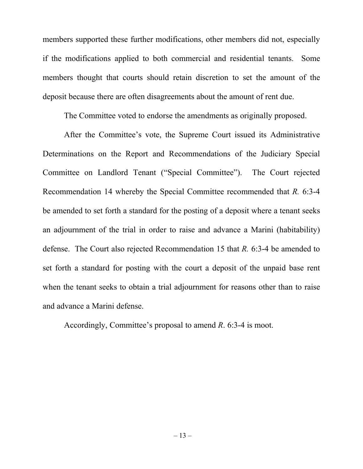members supported these further modifications, other members did not, especially if the modifications applied to both commercial and residential tenants. Some members thought that courts should retain discretion to set the amount of the deposit because there are often disagreements about the amount of rent due.

The Committee voted to endorse the amendments as originally proposed.

After the Committee's vote, the Supreme Court issued its Administrative Determinations on the Report and Recommendations of the Judiciary Special Committee on Landlord Tenant ("Special Committee"). The Court rejected Recommendation 14 whereby the Special Committee recommended that *R.* 6:3-4 be amended to set forth a standard for the posting of a deposit where a tenant seeks an adjournment of the trial in order to raise and advance a Marini (habitability) defense. The Court also rejected Recommendation 15 that *R.* 6:3-4 be amended to set forth a standard for posting with the court a deposit of the unpaid base rent when the tenant seeks to obtain a trial adjournment for reasons other than to raise and advance a Marini defense.

Accordingly, Committee's proposal to amend *R*. 6:3-4 is moot.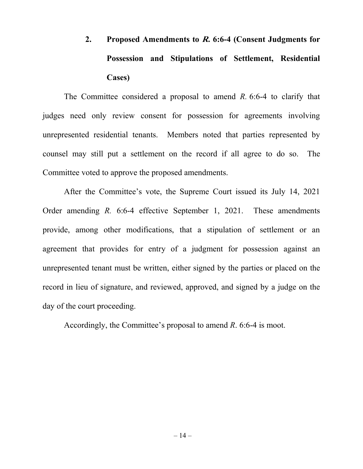# <span id="page-16-0"></span>**2. Proposed Amendments to R. 6:6-4 (Consent Judgments for Possession and Stipulations of Settlement, Residential Cases)**

The Committee considered a proposal to amend *R.* 6:6-4 to clarify that judges need only review consent for possession for agreements involving unrepresented residential tenants. Members noted that parties represented by counsel may still put a settlement on the record if all agree to do so. The Committee voted to approve the proposed amendments.

After the Committee's vote, the Supreme Court issued its July 14, 2021 Order amending *R.* 6:6-4 effective September 1, 2021. These amendments provide, among other modifications, that a stipulation of settlement or an agreement that provides for entry of a judgment for possession against an unrepresented tenant must be written, either signed by the parties or placed on the record in lieu of signature, and reviewed, approved, and signed by a judge on the day of the court proceeding.

Accordingly, the Committee's proposal to amend *R*. 6:6-4 is moot.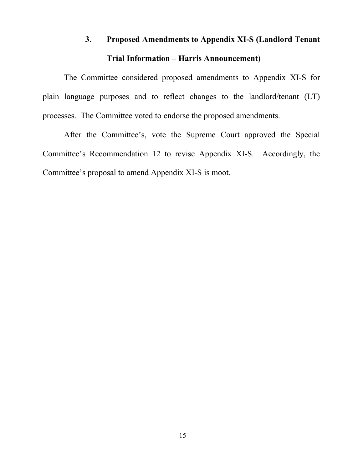# **3. Proposed Amendments to Appendix XI-S (Landlord Tenant Trial Information – Harris Announcement)**

<span id="page-17-0"></span>The Committee considered proposed amendments to Appendix XI-S for plain language purposes and to reflect changes to the landlord/tenant (LT) processes. The Committee voted to endorse the proposed amendments.

After the Committee's, vote the Supreme Court approved the Special Committee's Recommendation 12 to revise Appendix XI-S. Accordingly, the Committee's proposal to amend Appendix XI-S is moot.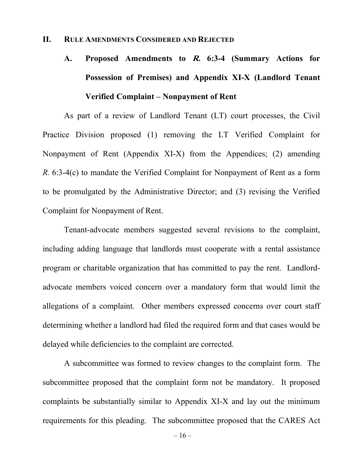## <span id="page-18-1"></span><span id="page-18-0"></span>**II. RULE AMENDMENTS CONSIDERED AND REJECTED**

# **A. Proposed Amendments to R. 6:3-4 (Summary Actions for Possession of Premises) and Appendix XI-X (Landlord Tenant Verified Complaint – Nonpayment of Rent**

As part of a review of Landlord Tenant (LT) court processes, the Civil Practice Division proposed (1) removing the LT Verified Complaint for Nonpayment of Rent (Appendix XI-X) from the Appendices; (2) amending *R.* 6:3-4(c) to mandate the Verified Complaint for Nonpayment of Rent as a form to be promulgated by the Administrative Director; and (3) revising the Verified Complaint for Nonpayment of Rent.

Tenant-advocate members suggested several revisions to the complaint, including adding language that landlords must cooperate with a rental assistance program or charitable organization that has committed to pay the rent. Landlordadvocate members voiced concern over a mandatory form that would limit the allegations of a complaint. Other members expressed concerns over court staff determining whether a landlord had filed the required form and that cases would be delayed while deficiencies to the complaint are corrected.

A subcommittee was formed to review changes to the complaint form. The subcommittee proposed that the complaint form not be mandatory. It proposed complaints be substantially similar to Appendix XI-X and lay out the minimum requirements for this pleading. The subcommittee proposed that the CARES Act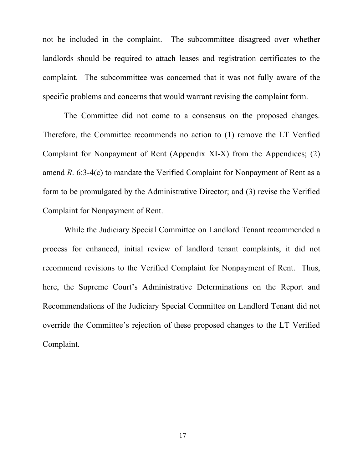not be included in the complaint. The subcommittee disagreed over whether landlords should be required to attach leases and registration certificates to the complaint. The subcommittee was concerned that it was not fully aware of the specific problems and concerns that would warrant revising the complaint form.

The Committee did not come to a consensus on the proposed changes. Therefore, the Committee recommends no action to (1) remove the LT Verified Complaint for Nonpayment of Rent (Appendix XI-X) from the Appendices; (2) amend *R*. 6:3-4(c) to mandate the Verified Complaint for Nonpayment of Rent as a form to be promulgated by the Administrative Director; and (3) revise the Verified Complaint for Nonpayment of Rent.

While the Judiciary Special Committee on Landlord Tenant recommended a process for enhanced, initial review of landlord tenant complaints, it did not recommend revisions to the Verified Complaint for Nonpayment of Rent. Thus, here, the Supreme Court's Administrative Determinations on the Report and Recommendations of the Judiciary Special Committee on Landlord Tenant did not override the Committee's rejection of these proposed changes to the LT Verified Complaint.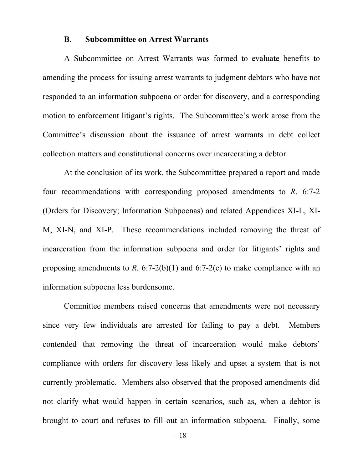## **B. Subcommittee on Arrest Warrants**

<span id="page-20-0"></span>A Subcommittee on Arrest Warrants was formed to evaluate benefits to amending the process for issuing arrest warrants to judgment debtors who have not responded to an information subpoena or order for discovery, and a corresponding motion to enforcement litigant's rights. The Subcommittee's work arose from the Committee's discussion about the issuance of arrest warrants in debt collect collection matters and constitutional concerns over incarcerating a debtor.

At the conclusion of its work, the Subcommittee prepared a report and made four recommendations with corresponding proposed amendments to *R*. 6:7-2 (Orders for Discovery; Information Subpoenas) and related Appendices XI-L, XI-M, XI-N, and XI-P. These recommendations included removing the threat of incarceration from the information subpoena and order for litigants' rights and proposing amendments to *R*.  $6:7-2(b)(1)$  and  $6:7-2(e)$  to make compliance with an information subpoena less burdensome.

Committee members raised concerns that amendments were not necessary since very few individuals are arrested for failing to pay a debt. Members contended that removing the threat of incarceration would make debtors' compliance with orders for discovery less likely and upset a system that is not currently problematic. Members also observed that the proposed amendments did not clarify what would happen in certain scenarios, such as, when a debtor is brought to court and refuses to fill out an information subpoena. Finally, some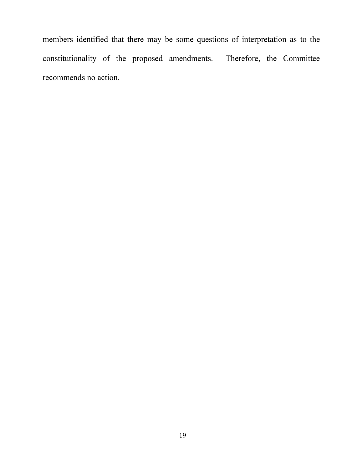members identified that there may be some questions of interpretation as to the constitutionality of the proposed amendments. Therefore, the Committee recommends no action.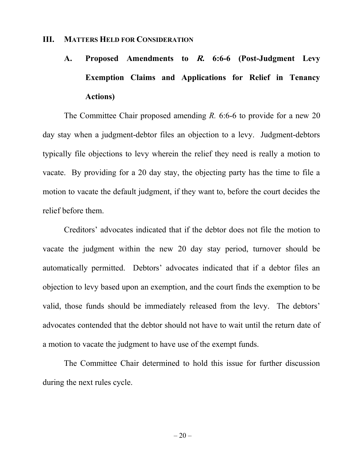## <span id="page-22-1"></span><span id="page-22-0"></span>**III. MATTERS HELD FOR CONSIDERATION**

# **A. Proposed Amendments to R. 6:6-6 (Post-Judgment Levy Exemption Claims and Applications for Relief in Tenancy Actions)**

The Committee Chair proposed amending *R.* 6:6-6 to provide for a new 20 day stay when a judgment-debtor files an objection to a levy. Judgment-debtors typically file objections to levy wherein the relief they need is really a motion to vacate. By providing for a 20 day stay, the objecting party has the time to file a motion to vacate the default judgment, if they want to, before the court decides the relief before them.

Creditors' advocates indicated that if the debtor does not file the motion to vacate the judgment within the new 20 day stay period, turnover should be automatically permitted. Debtors' advocates indicated that if a debtor files an objection to levy based upon an exemption, and the court finds the exemption to be valid, those funds should be immediately released from the levy. The debtors' advocates contended that the debtor should not have to wait until the return date of a motion to vacate the judgment to have use of the exempt funds.

The Committee Chair determined to hold this issue for further discussion during the next rules cycle.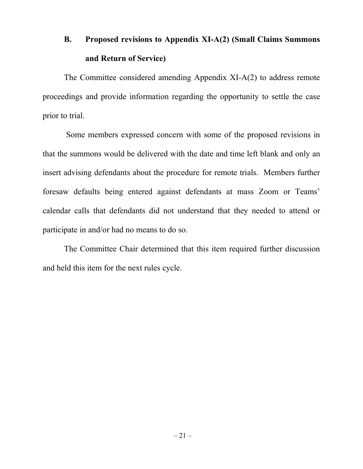# <span id="page-23-0"></span>**B. Proposed revisions to Appendix XI-A(2) (Small Claims Summons and Return of Service)**

The Committee considered amending Appendix XI-A(2) to address remote proceedings and provide information regarding the opportunity to settle the case prior to trial.

Some members expressed concern with some of the proposed revisions in that the summons would be delivered with the date and time left blank and only an insert advising defendants about the procedure for remote trials. Members further foresaw defaults being entered against defendants at mass Zoom or Teams' calendar calls that defendants did not understand that they needed to attend or participate in and/or had no means to do so.

The Committee Chair determined that this item required further discussion and held this item for the next rules cycle.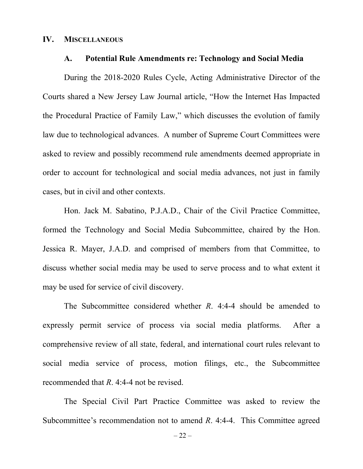## <span id="page-24-1"></span><span id="page-24-0"></span>**IV. MISCELLANEOUS**

#### **A. Potential Rule Amendments re: Technology and Social Media**

During the 2018-2020 Rules Cycle, Acting Administrative Director of the Courts shared a New Jersey Law Journal article, "How the Internet Has Impacted the Procedural Practice of Family Law," which discusses the evolution of family law due to technological advances. A number of Supreme Court Committees were asked to review and possibly recommend rule amendments deemed appropriate in order to account for technological and social media advances, not just in family cases, but in civil and other contexts.

Hon. Jack M. Sabatino, P.J.A.D., Chair of the Civil Practice Committee, formed the Technology and Social Media Subcommittee, chaired by the Hon. Jessica R. Mayer, J.A.D. and comprised of members from that Committee, to discuss whether social media may be used to serve process and to what extent it may be used for service of civil discovery.

The Subcommittee considered whether *R*. 4:4-4 should be amended to expressly permit service of process via social media platforms. After a comprehensive review of all state, federal, and international court rules relevant to social media service of process, motion filings, etc., the Subcommittee recommended that *R*. 4:4-4 not be revised.

The Special Civil Part Practice Committee was asked to review the Subcommittee's recommendation not to amend *R*. 4:4-4. This Committee agreed

 $-22-$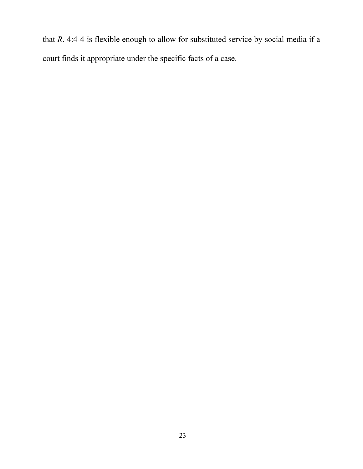that *R*. 4:4-4 is flexible enough to allow for substituted service by social media if a court finds it appropriate under the specific facts of a case.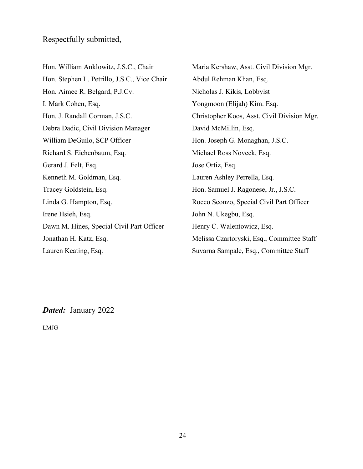Hon. William Anklowitz, J.S.C., Chair Hon. Stephen L. Petrillo, J.S.C., Vice Chair Hon. Aimee R. Belgard, P.J.Cv. I. Mark Cohen, Esq. Hon. J. Randall Corman, J.S.C. Debra Dadic, Civil Division Manager William DeGuilo, SCP Officer Richard S. Eichenbaum, Esq. Gerard J. Felt, Esq. Kenneth M. Goldman, Esq. Tracey Goldstein, Esq. Linda G. Hampton, Esq. Irene Hsieh, Esq. Dawn M. Hines, Special Civil Part Officer Jonathan H. Katz, Esq. Lauren Keating, Esq.

Maria Kershaw, Asst. Civil Division Mgr. Abdul Rehman Khan, Esq. Nicholas J. Kikis, Lobbyist Yongmoon (Elijah) Kim. Esq. Christopher Koos, Asst. Civil Division Mgr. David McMillin, Esq. Hon. Joseph G. Monaghan, J.S.C. Michael Ross Noveck, Esq. Jose Ortiz, Esq. Lauren Ashley Perrella, Esq. Hon. Samuel J. Ragonese, Jr., J.S.C. Rocco Sconzo, Special Civil Part Officer John N. Ukegbu, Esq. Henry C. Walentowicz, Esq. Melissa Czartoryski, Esq., Committee Staff Suvarna Sampale, Esq., Committee Staff

*Dated:* January 2022

LMJG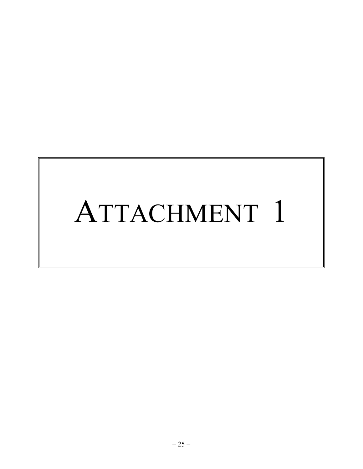# ATTACHMENT 1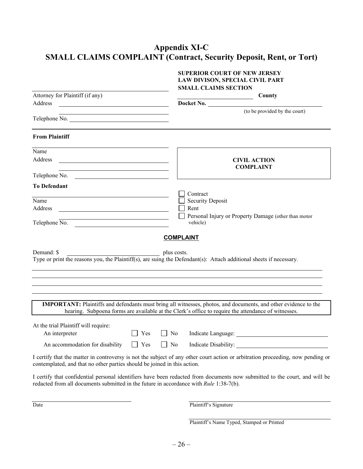# **Appendix XI-C SMALL CLAIMS COMPLAINT (Contract, Security Deposit, Rent, or Tort)**

|                                                                                        |     |                  | <b>SUPERIOR COURT OF NEW JERSEY</b><br>LAW DIVISON, SPECIAL CIVIL PART                                                                                                                                                        |
|----------------------------------------------------------------------------------------|-----|------------------|-------------------------------------------------------------------------------------------------------------------------------------------------------------------------------------------------------------------------------|
|                                                                                        |     |                  | <b>SMALL CLAIMS SECTION</b>                                                                                                                                                                                                   |
| Attorney for Plaintiff (if any)                                                        |     |                  | County                                                                                                                                                                                                                        |
| Address<br><u> 1989 - Andrea State Barbara, política establece</u>                     |     |                  | Docket No.                                                                                                                                                                                                                    |
| Telephone No.                                                                          |     |                  | (to be provided by the court)                                                                                                                                                                                                 |
| <b>From Plaintiff</b>                                                                  |     |                  |                                                                                                                                                                                                                               |
| Name                                                                                   |     |                  |                                                                                                                                                                                                                               |
| Address                                                                                |     |                  | <b>CIVIL ACTION</b><br><b>COMPLAINT</b>                                                                                                                                                                                       |
| Telephone No.                                                                          |     |                  |                                                                                                                                                                                                                               |
| <b>To Defendant</b>                                                                    |     |                  |                                                                                                                                                                                                                               |
| Name                                                                                   |     |                  | Contract<br><b>Security Deposit</b>                                                                                                                                                                                           |
| Address                                                                                |     |                  | Rent                                                                                                                                                                                                                          |
|                                                                                        |     |                  | Personal Injury or Property Damage (other than motor                                                                                                                                                                          |
| Telephone No.                                                                          |     |                  | vehicle)                                                                                                                                                                                                                      |
|                                                                                        |     | <b>COMPLAINT</b> |                                                                                                                                                                                                                               |
| Demand: \$                                                                             |     | plus costs.      | Type or print the reasons you, the Plaintiff(s), are suing the Defendant(s): Attach additional sheets if necessary.                                                                                                           |
|                                                                                        |     |                  | <b>IMPORTANT:</b> Plaintiffs and defendants must bring all witnesses, photos, and documents, and other evidence to the<br>hearing. Subpoena forms are available at the Clerk's office to require the attendance of witnesses. |
| At the trial Plaintiff will require:<br>An interpreter                                 | Yes | N <sub>o</sub>   | Indicate Language:                                                                                                                                                                                                            |
| An accommodation for disability $\Box$ Yes                                             |     | $\Box$ No        | Indicate Disability:                                                                                                                                                                                                          |
| contemplated, and that no other parties should be joined in this action.               |     |                  | I certify that the matter in controversy is not the subject of any other court action or arbitration proceeding, now pending or                                                                                               |
| redacted from all documents submitted in the future in accordance with Rule 1:38-7(b). |     |                  | I certify that confidential personal identifiers have been redacted from documents now submitted to the court, and will be                                                                                                    |

Date Plaintiff's Signature

Plaintiff's Name Typed, Stamped or Printed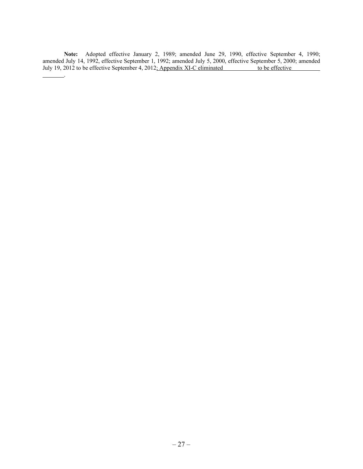**Note:** Adopted effective January 2, 1989; amended June 29, 1990, effective September 4, 1990; amended July 14, 1992, effective September 1, 1992; amended July 5, 2000, effective September 5, 2000; amended July 19, 2012 to be effective September 4, 2012; Appendix XI-C eliminated to be effective

.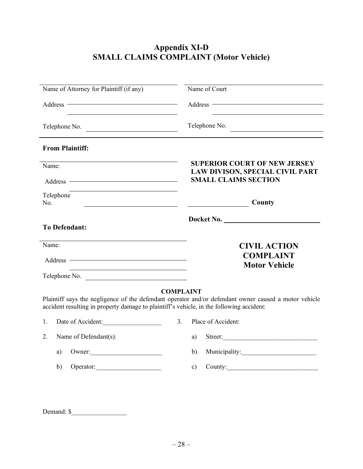# **Appendix XI-D SMALL CLAIMS COMPLAINT (Motor Vehicle)**

| Name of Attorney for Plaintiff (if any)                                                                         | Name of Court                                                                                                                                                                                                                  |  |  |
|-----------------------------------------------------------------------------------------------------------------|--------------------------------------------------------------------------------------------------------------------------------------------------------------------------------------------------------------------------------|--|--|
| the contract of the contract of the contract of the contract of the contract of the contract of the contract of | Address The Commission of the Commission of the Commission of the Commission of the Commission of the Commission of the Commission of the Commission of the Commission of the Commission of the Commission of the Commission o |  |  |
| Telephone No.                                                                                                   | Telephone No.                                                                                                                                                                                                                  |  |  |
| <b>From Plaintiff:</b>                                                                                          |                                                                                                                                                                                                                                |  |  |
| Name:<br>Address ————————————————————                                                                           | <b>SUPERIOR COURT OF NEW JERSEY</b><br><b>LAW DIVISON, SPECIAL CIVIL PART</b><br><b>SMALL CLAIMS SECTION</b>                                                                                                                   |  |  |
| Telephone<br>No.<br><u> 1989 - Johann Barbara, martin a</u>                                                     | County<br><u> The Communication of the Communication</u>                                                                                                                                                                       |  |  |
| <b>To Defendant:</b>                                                                                            | Docket No.                                                                                                                                                                                                                     |  |  |
| Name:<br>Address <u>————————————————————</u><br>Telephone No.                                                   | <b>CIVIL ACTION</b><br><b>COMPLAINT</b><br><b>Motor Vehicle</b>                                                                                                                                                                |  |  |
| accident resulting in property damage to plaintiff's vehicle, in the following accident:                        | <b>COMPLAINT</b><br>Plaintiff says the negligence of the defendant operator and/or defendant owner caused a motor vehicle                                                                                                      |  |  |
| Date of Accident:<br>1.                                                                                         | Place of Accident:<br>3.                                                                                                                                                                                                       |  |  |
|                                                                                                                 |                                                                                                                                                                                                                                |  |  |
| Name of Defendant(s):<br>2.                                                                                     | a)<br>Street:                                                                                                                                                                                                                  |  |  |
| a)                                                                                                              | b)                                                                                                                                                                                                                             |  |  |

Demand:  $\$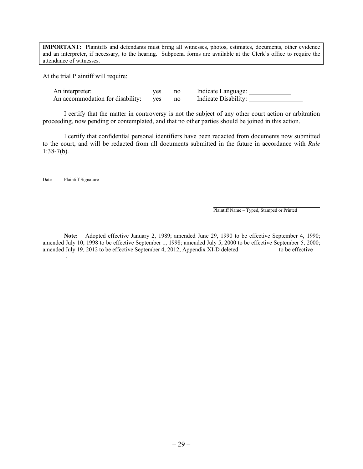**IMPORTANT:** Plaintiffs and defendants must bring all witnesses, photos, estimates, documents, other evidence and an interpreter, if necessary, to the hearing. Subpoena forms are available at the Clerk's office to require the attendance of witnesses.

At the trial Plaintiff will require:

| An interpreter:                         | yes | no | Indicate Language:   |
|-----------------------------------------|-----|----|----------------------|
| An accommodation for disability: yes no |     |    | Indicate Disability: |

I certify that the matter in controversy is not the subject of any other court action or arbitration proceeding, now pending or contemplated, and that no other parties should be joined in this action.

I certify that confidential personal identifiers have been redacted from documents now submitted to the court, and will be redacted from all documents submitted in the future in accordance with *Rule*  $1:38-7(b)$ .

\_\_\_\_\_\_\_\_\_\_\_\_\_\_\_\_\_ \_\_\_\_\_\_\_\_\_\_\_\_\_\_\_\_\_\_\_\_\_\_\_\_\_\_\_\_\_\_\_\_ Date Plaintiff Signature

.

Plaintiff Name – Typed, Stamped or Printed

**Note:** Adopted effective January 2, 1989; amended June 29, 1990 to be effective September 4, 1990; amended July 10, 1998 to be effective September 1, 1998; amended July 5, 2000 to be effective September 5, 2000; amended July 19, 2012 to be effective September 4, 2012; Appendix XI-D deleted to be effective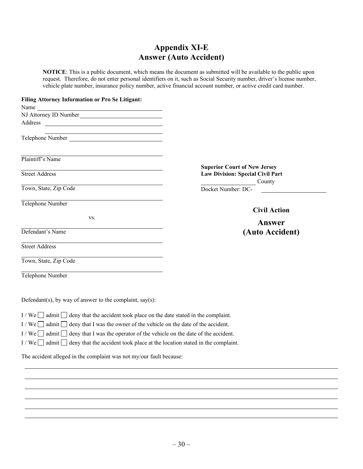## **Appendix XI-E Answer (Auto Accident)**

**NOTICE**: This is a public document, which means the document as submitted will be available to the public upon request. Therefore, do not enter personal identifiers on it, such as Social Security number, driver's license number, vehicle plate number, insurance policy number, active financial account number, or active credit card number.

#### **Filing Attorney Information or Pro Se Litigant:**

| Name<br><u> 1989 - Johann Stoff, deutscher Stoffen und der Stoffen und der Stoffen und der Stoffen und der Stoffen und der</u> |                                            |
|--------------------------------------------------------------------------------------------------------------------------------|--------------------------------------------|
| NJ Attorney ID Number                                                                                                          |                                            |
|                                                                                                                                |                                            |
| <u> 1989 - Johann Stein, mars an deus Amerikaansk kommunister (* 1958)</u><br>Telephone Number                                 |                                            |
| Plaintiff's Name                                                                                                               |                                            |
| <b>Street Address</b>                                                                                                          | <b>Superior Court of New Jersey</b>        |
|                                                                                                                                | Law Division: Special Civil Part<br>County |
| Town, State, Zip Code                                                                                                          | Docket Number: DC-                         |
| Telephone Number                                                                                                               | <b>Civil Action</b>                        |
| VS.                                                                                                                            | Answer                                     |
| Defendant's Name                                                                                                               | (Auto Accident)                            |
| <b>Street Address</b>                                                                                                          |                                            |
| Town, State, Zip Code                                                                                                          |                                            |
| Telephone Number                                                                                                               |                                            |
| Defendant(s), by way of answer to the complaint, say(s):                                                                       |                                            |

- I / We  $\Box$  admit  $\Box$  deny that the accident took place on the date stated in the complaint.
- I / We  $\Box$  admit  $\Box$  deny that I was the owner of the vehicle on the date of the accident.
- I / We  $\Box$  admit  $\Box$  deny that I was the operator of the vehicle on the date of the accident.
- I / We  $\Box$  admit  $\Box$  deny that the accident took place at the location stated in the complaint.

The accident alleged in the complaint was not my/our fault because: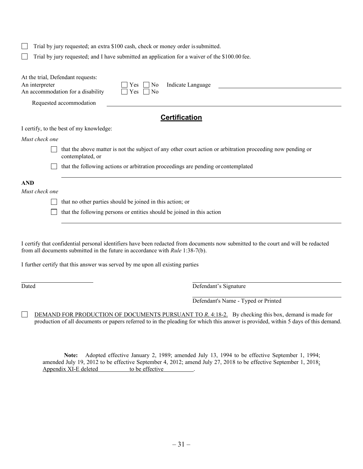| Trial by jury requested; an extra \$100 cash, check or money order is submitted. |                                                                                                                                 |  |  |  |
|----------------------------------------------------------------------------------|---------------------------------------------------------------------------------------------------------------------------------|--|--|--|
|                                                                                  | Trial by jury requested; and I have submitted an application for a waiver of the \$100.00 fee.                                  |  |  |  |
| At the trial, Defendant requests:<br>An interpreter                              | Indicate Language<br>No<br>Yes<br>An accommodation for a disability<br>$\overline{N}$<br>Yes                                    |  |  |  |
|                                                                                  | Requested accommodation                                                                                                         |  |  |  |
|                                                                                  | <b>Certification</b>                                                                                                            |  |  |  |
|                                                                                  | I certify, to the best of my knowledge:                                                                                         |  |  |  |
| Must check one                                                                   |                                                                                                                                 |  |  |  |
|                                                                                  | that the above matter is not the subject of any other court action or arbitration proceeding now pending or<br>contemplated, or |  |  |  |
|                                                                                  | that the following actions or arbitration proceedings are pending or contemplated                                               |  |  |  |
| <b>AND</b>                                                                       |                                                                                                                                 |  |  |  |
| Must check one                                                                   |                                                                                                                                 |  |  |  |
|                                                                                  | that no other parties should be joined in this action; or                                                                       |  |  |  |
|                                                                                  | that the following persons or entities should be joined in this action                                                          |  |  |  |

I certify that confidential personal identifiers have been redacted from documents now submitted to the court and will be redacted from all documents submitted in the future in accordance with *Rule* 1:38-7(b).

I further certify that this answer was served by me upon all existing parties

 $\Box$ 

Dated Defendant's Signature

Defendant's Name - Typed or Printed

DEMAND FOR PRODUCTION OF DOCUMENTS PURSUANT TO *R*. 4:18-2. By checking this box, demand is made for production of all documents or papers referred to in the pleading for which this answer is provided, within 5 days of this demand.

**Note:** Adopted effective January 2, 1989; amended July 13, 1994 to be effective September 1, 1994; amended July 19, 2012 to be effective September 4, 2012; amend July 27, 2018 to be effective September 1, 2018; Appendix XI-E deleted to be effective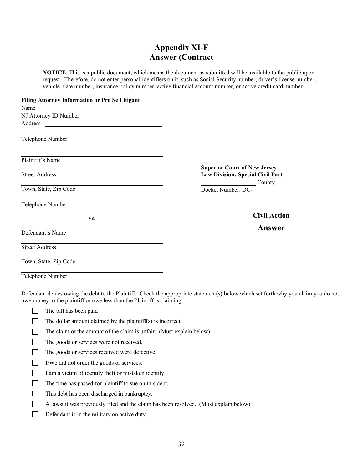## **Appendix XI-F Answer (Contract**

**NOTICE**: This is a public document, which means the document as submitted will be available to the public upon request. Therefore, do not enter personal identifiers on it, such as Social Security number, driver's license number, vehicle plate number, insurance policy number, active financial account number, or active credit card number.

| Filing Attorney Information or Pro Se Litigant:                                                     |                                         |
|-----------------------------------------------------------------------------------------------------|-----------------------------------------|
| Name                                                                                                |                                         |
| NJ Attorney ID Number                                                                               |                                         |
|                                                                                                     |                                         |
| the contract of the contract of the contract of the contract of the contract of<br>Telephone Number |                                         |
| Plaintiff's Name                                                                                    |                                         |
|                                                                                                     | <b>Superior Court of New Jersey</b>     |
| <b>Street Address</b>                                                                               | <b>Law Division: Special Civil Part</b> |
|                                                                                                     | County                                  |
| Town, State, Zip Code                                                                               | Docket Number: DC-                      |
| Telephone Number                                                                                    |                                         |
| VS.                                                                                                 | <b>Civil Action</b>                     |
|                                                                                                     | Answer                                  |
| Defendant's Name                                                                                    |                                         |
| <b>Street Address</b>                                                                               |                                         |
| Town, State, Zip Code                                                                               |                                         |
| $T = 1 - T$                                                                                         |                                         |

Telephone Number

Defendant denies owing the debt to the Plaintiff. Check the appropriate statement(s) below which set forth why you claim you do not owe money to the plaintiff or owe less than the Plaintiff is claiming.

- $\mathbf{L}$ The bill has been paid
- $\overline{\phantom{a}}$ The dollar amount claimed by the plaintiff(s) is incorrect.
- $\Box$ The claim or the amount of the claim is unfair. (Must explain below)
- The goods or services were not received.  $\Box$
- $\Box$ The goods or services received were defective.
- $\Box$ I/We did not order the goods or services.
- $\Box$ I am a victim of identity theft or mistaken identity.
- $\Box$ The time has passed for plaintiff to sue on this debt.
- $\Box$ This debt has been discharged in bankruptcy.
- A lawsuit was previously filed and the claim has been resolved. (Must explain below)  $\Box$
- $\Box$ Defendant is in the military on active duty.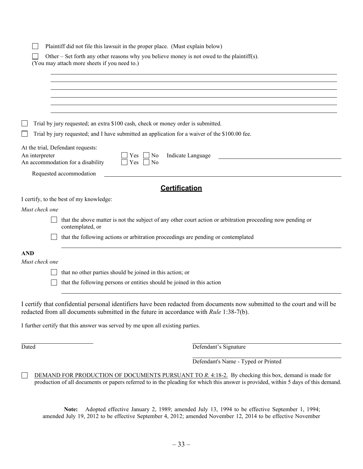|                                                     | Plaintiff did not file this lawsuit in the proper place. (Must explain below)                                                              |
|-----------------------------------------------------|--------------------------------------------------------------------------------------------------------------------------------------------|
|                                                     | Other – Set forth any other reasons why you believe money is not owed to the plaintiff(s).<br>(You may attach more sheets if you need to.) |
|                                                     |                                                                                                                                            |
|                                                     |                                                                                                                                            |
|                                                     |                                                                                                                                            |
|                                                     |                                                                                                                                            |
|                                                     | Trial by jury requested; an extra \$100 cash, check or money order is submitted.                                                           |
|                                                     | Trial by jury requested; and I have submitted an application for a waiver of the \$100.00 fee.                                             |
| At the trial, Defendant requests:<br>An interpreter | No<br>Indicate Language<br>Yes<br>An accommodation for a disability<br>Yes<br>No                                                           |
|                                                     | Requested accommodation                                                                                                                    |
|                                                     | <b>Certification</b>                                                                                                                       |
|                                                     | I certify, to the best of my knowledge:                                                                                                    |
| Must check one                                      |                                                                                                                                            |
|                                                     | that the above matter is not the subject of any other court action or arbitration proceeding now pending or<br>contemplated, or            |
|                                                     | that the following actions or arbitration proceedings are pending or contemplated                                                          |
| <b>AND</b>                                          |                                                                                                                                            |
| Must check one                                      |                                                                                                                                            |
|                                                     | that no other parties should be joined in this action; or                                                                                  |
|                                                     | that the following persons or entities should be joined in this action                                                                     |
|                                                     | I contify that confidential nonconal identifiance have been nodested from degree now culmitted to the count ond will be                    |

I certify that confidential personal identifiers have been redacted from documents now submitted to the court and will be redacted from all documents submitted in the future in accordance with *Rule* 1:38-7(b).

I further certify that this answer was served by me upon all existing parties.

Dated Defendant's Signature

Defendant's Name - Typed or Printed

DEMAND FOR PRODUCTION OF DOCUMENTS PURSUANT TO *R*. 4:18-2. By checking this box, demand is made for  $\Box$ production of all documents or papers referred to in the pleading for which this answer is provided, within 5 days of this demand.

**Note:** Adopted effective January 2, 1989; amended July 13, 1994 to be effective September 1, 1994; amended July 19, 2012 to be effective September 4, 2012; amended November 12, 2014 to be effective November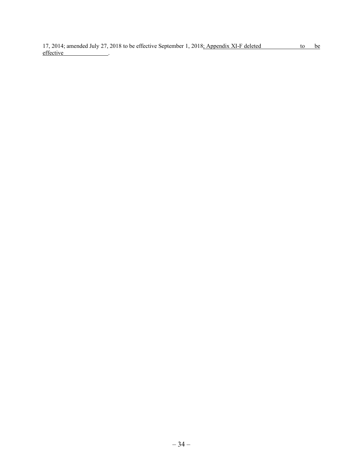17, 2014; amended July 27, 2018 to be effective September 1, 2018; Appendix XI-F deleted to be effective .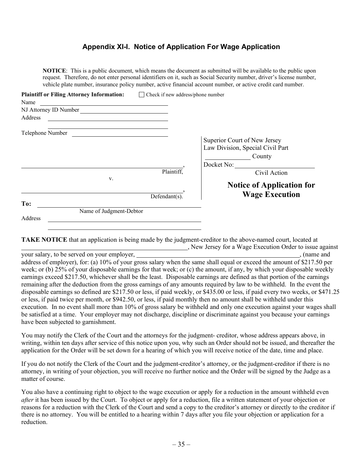## **Appendix XI-I. Notice of Application For Wage Application**

**NOTICE**: This is a public document, which means the document as submitted will be available to the public upon request. Therefore, do not enter personal identifiers on it, such as Social Security number, driver's license number, vehicle plate number, insurance policy number, active financial account number, or active credit card number.

| <b>Plaintiff or Filing Attorney Information:</b>                                                                                               | Check if new address/phone number<br>$\mathbf{L}$ |                                                                                                          |
|------------------------------------------------------------------------------------------------------------------------------------------------|---------------------------------------------------|----------------------------------------------------------------------------------------------------------|
| Name<br><u> 1989 - John Stein, Amerikaansk politiker (</u>                                                                                     |                                                   |                                                                                                          |
| NJ Attorney ID Number<br><u> 1989 - Andrea State Barbara, política e a provincia de la provincia de la provincia de la provincia de la pro</u> |                                                   |                                                                                                          |
| Address                                                                                                                                        |                                                   |                                                                                                          |
| Telephone Number                                                                                                                               |                                                   |                                                                                                          |
|                                                                                                                                                | Plaintiff,                                        | Superior Court of New Jersey<br>Law Division, Special Civil Part<br>County<br>Docket No:<br>Civil Action |
| V.                                                                                                                                             | $Defendant(s)$ .                                  | <b>Notice of Application for</b><br><b>Wage Execution</b>                                                |
| To:                                                                                                                                            |                                                   |                                                                                                          |
| Name of Judgment-Debtor<br>Address                                                                                                             |                                                   |                                                                                                          |

**TAKE NOTICE** that an application is being made by the judgment-creditor to the above-named court, located at **EXECUTE:** New Jersey for a Wage Execution Order to issue against

your salary, to be served on your employer, , (name and address of employer), for: (a) 10% of your gross salary when the same shall equal or exceed the amount of \$217.50 per week; or (b) 25% of your disposable earnings for that week; or (c) the amount, if any, by which your disposable weekly earnings exceed \$217.50, whichever shall be the least. Disposable earnings are defined as that portion of the earnings remaining after the deduction from the gross earnings of any amounts required by law to be withheld. In the event the disposable earnings so defined are \$217.50 or less, if paid weekly, or \$435.00 or less, if paid every two weeks, or \$471.25 or less, if paid twice per month, or \$942.50, or less, if paid monthly then no amount shall be withheld under this execution. In no event shall more than 10% of gross salary be withheld and only one execution against your wages shall be satisfied at a time. Your employer may not discharge, discipline or discriminate against you because your earnings have been subjected to garnishment.

You may notify the Clerk of the Court and the attorneys for the judgment- creditor, whose address appears above, in writing, within ten days after service of this notice upon you, why such an Order should not be issued, and thereafter the application for the Order will be set down for a hearing of which you will receive notice of the date, time and place.

If you do not notify the Clerk of the Court and the judgment-creditor's attorney, or the judgment-creditor if there is no attorney, in writing of your objection, you will receive no further notice and the Order will be signed by the Judge as a matter of course.

You also have a continuing right to object to the wage execution or apply for a reduction in the amount withheld even *after* it has been issued by the Court. To object or apply for a reduction, file a written statement of your objection or reasons for a reduction with the Clerk of the Court and send a copy to the creditor's attorney or directly to the creditor if there is no attorney. You will be entitled to a hearing within 7 days after you file your objection or application for a reduction.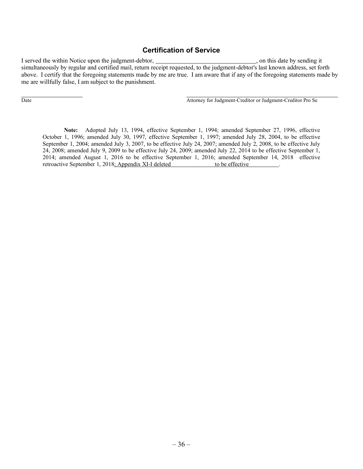## **Certification of Service**

I served the within Notice upon the judgment-debtor,  $\blacksquare$ , on this date by sending it simultaneously by regular and certified mail, return receipt requested, to the judgment-debtor's last known address, set forth above. I certify that the foregoing statements made by me are true. I am aware that if any of the foregoing statements made by me are willfully false, I am subject to the punishment.

Date Attorney for Judgment-Creditor or Judgment-Creditor Pro Se

**Note:** Adopted July 13, 1994, effective September 1, 1994; amended September 27, 1996, effective October 1, 1996; amended July 30, 1997, effective September 1, 1997; amended July 28, 2004, to be effective September 1, 2004; amended July 3, 2007, to be effective July 24, 2007; amended July 2, 2008, to be effective July 24, 2008; amended July 9, 2009 to be effective July 24, 2009; amended July 22, 2014 to be effective September 1, 2014; amended August 1, 2016 to be effective September 1, 2016; amended September 14, 2018 effective retroactive September 1, 2018; Appendix XI-I deleted to be effective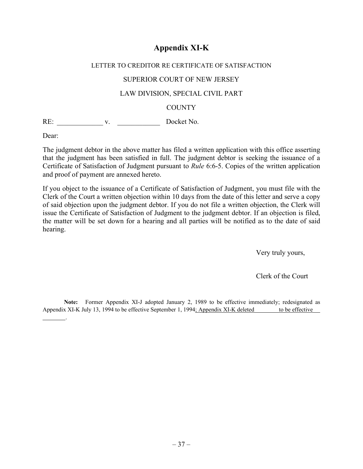# **Appendix XI-K**

# LETTER TO CREDITOR RE CERTIFICATE OF SATISFACTION SUPERIOR COURT OF NEW JERSEY LAW DIVISION, SPECIAL CIVIL PART **COUNTY**

RE: \_\_\_\_\_\_\_\_\_\_\_\_\_ v. \_\_\_\_\_\_\_\_\_\_\_\_ Docket No.

Dear:

.

The judgment debtor in the above matter has filed a written application with this office asserting that the judgment has been satisfied in full. The judgment debtor is seeking the issuance of a Certificate of Satisfaction of Judgment pursuant to *Rule* 6:6-5. Copies of the written application and proof of payment are annexed hereto.

If you object to the issuance of a Certificate of Satisfaction of Judgment, you must file with the Clerk of the Court a written objection within 10 days from the date of this letter and serve a copy of said objection upon the judgment debtor. If you do not file a written objection, the Clerk will issue the Certificate of Satisfaction of Judgment to the judgment debtor. If an objection is filed, the matter will be set down for a hearing and all parties will be notified as to the date of said hearing.

Very truly yours,

Clerk of the Court

**Note:** Former Appendix XI-J adopted January 2, 1989 to be effective immediately; redesignated as Appendix XI-K July 13, 1994 to be effective September 1, 1994; Appendix XI-K deleted to be effective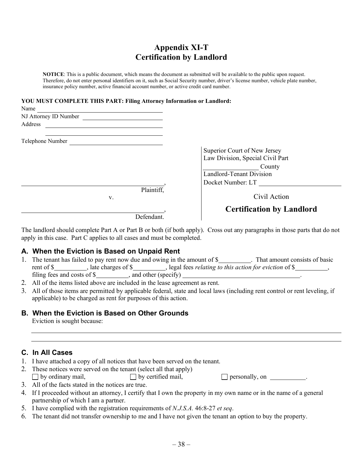# **Appendix XI-T Certification by Landlord**

**NOTICE**: This is a public document, which means the document as submitted will be available to the public upon request. Therefore, do not enter personal identifiers on it, such as Social Security number, driver's license number, vehicle plate number, insurance policy number, active financial account number, or active credit card number.

#### **YOU MUST COMPLETE THIS PART: Filing Attorney Information or Landlord:**

| Name                  |                                  |
|-----------------------|----------------------------------|
| NJ Attorney ID Number |                                  |
| Address               |                                  |
| Telephone Number      |                                  |
|                       | Superior Court of New Jersey     |
|                       | Law Division, Special Civil Part |
|                       | County                           |
|                       | Landlord-Tenant Division         |
|                       | Docket Number: LT                |
| Plaintiff,            |                                  |
| V.                    | Civil Action                     |
|                       | <b>Certification by Landlord</b> |
| Defendant.            |                                  |

The landlord should complete Part A or Part B or both (if both apply). Cross out any paragraphs in those parts that do not apply in this case. Part C applies to all cases and must be completed.

## **A. When the Eviction is Based on Unpaid Rent**

- 1. The tenant has failed to pay rent now due and owing in the amount of \$ . That amount consists of basic rent of \$\_\_\_\_\_\_\_\_\_, late charges of \$\_\_\_\_\_\_\_\_, legal fees *relating to this action for eviction* of \$\_\_\_\_\_\_\_\_, filing fees and costs of  $\frac{1}{s}$ , and other (specify)  $\frac{1}{s}$ .
- 2. All of the items listed above are included in the lease agreement as rent.
- 3. All of those items are permitted by applicable federal, state and local laws (including rent control or rent leveling, if applicable) to be charged as rent for purposes of this action.

## **B. When the Eviction is Based on Other Grounds**

Eviction is sought because:

## **C. In All Cases**

- 1. I have attached a copy of all notices that have been served on the tenant.
- 2. These notices were served on the tenant (select all that apply)  $\Box$  by ordinary mail,  $\Box$  by certified mail,  $\Box$  personally, on  $\Box$

- 3. All of the facts stated in the notices are true.
- 4. If I proceeded without an attorney, I certify that I own the property in my own name or in the name of a general partnership of which I am a partner.
- 5. I have complied with the registration requirements of *N.J.S.A.* 46:8-27 *et seq*.
- 6. The tenant did not transfer ownership to me and I have not given the tenant an option to buy the property.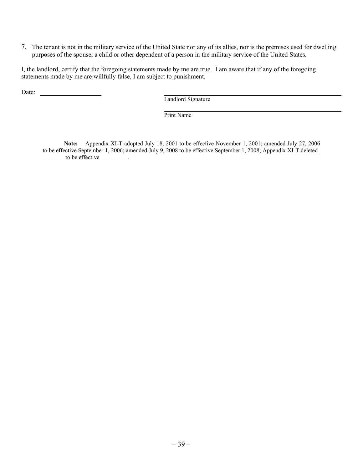7. The tenant is not in the military service of the United State nor any of its allies, nor is the premises used for dwelling purposes of the spouse, a child or other dependent of a person in the military service of the United States.

I, the landlord, certify that the foregoing statements made by me are true. I am aware that if any of the foregoing statements made by me are willfully false, I am subject to punishment.

Date:

Landlord Signature

Print Name

**Note:** Appendix XI-T adopted July 18, 2001 to be effective November 1, 2001; amended July 27, 2006 to be effective September 1, 2006; amended July 9, 2008 to be effective September 1, 2008; Appendix XI-T deleted to be effective .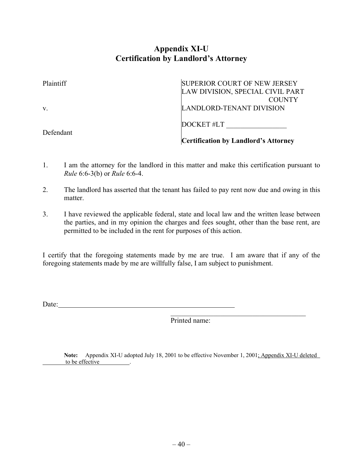# **Appendix XI-U Certification by Landlord's Attorney**

| Plaintiff | <b>SUPERIOR COURT OF NEW JERSEY</b>         |
|-----------|---------------------------------------------|
|           | LAW DIVISION, SPECIAL CIVIL PART            |
|           | <b>COUNTY</b>                               |
| V.        | LANDLORD-TENANT DIVISION                    |
|           | DOCKET#LT                                   |
| Defendant | <b>Certification by Landlord's Attorney</b> |

- 1. I am the attorney for the landlord in this matter and make this certification pursuant to *Rule* 6:6-3(b) or *Rule* 6:6-4.
- 2. The landlord has asserted that the tenant has failed to pay rent now due and owing in this matter.
- 3. I have reviewed the applicable federal, state and local law and the written lease between the parties, and in my opinion the charges and fees sought, other than the base rent, are permitted to be included in the rent for purposes of this action.

I certify that the foregoing statements made by me are true. I am aware that if any of the foregoing statements made by me are willfully false, I am subject to punishment.

Date: <u>with the contract of the contract of</u> the contract of the contract of the contract of the contract of the contract of the contract of the contract of the contract of the contract of the contract of the contract of t

Printed name:

Note: Appendix XI-U adopted July 18, 2001 to be effective November 1, 2001; Appendix XI-U deleted to be effective .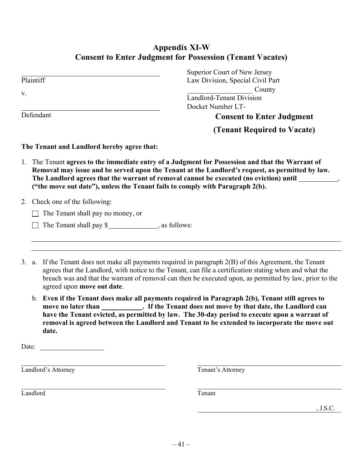# **Appendix XI-W Consent to Enter Judgment for Possession (Tenant Vacates)**

|                                            | Superior Court of New Jersey                                                                  |
|--------------------------------------------|-----------------------------------------------------------------------------------------------|
| Plaintiff                                  | Law Division, Special Civil Part                                                              |
| V.                                         | County                                                                                        |
|                                            | <b>Landlord-Tenant Division</b>                                                               |
|                                            | Docket Number LT-                                                                             |
| Defendant                                  | <b>Consent to Enter Judgment</b>                                                              |
|                                            | (Tenant Required to Vacate)                                                                   |
| The Tenant and Landlord hereby agree that: |                                                                                               |
| 1.                                         | The Tenant agrees to the immediate entry of a Judgment for Possession and that the Warrant of |

- **Removal may issue and be served upon the Tenant at the Landlord's request, as permitted by law.** The Landlord agrees that the warrant of removal cannot be executed (no eviction) until \_\_\_\_\_\_\_\_\_\_\_\_, **("the move out date"), unless the Tenant fails to comply with Paragraph 2(b).**
- 2. Check one of the following:
	- $\Box$  The Tenant shall pay no money, or
	- $\Box$  The Tenant shall pay \$, as follows:
- 3. a. If the Tenant does not make all payments required in paragraph 2(B) of this Agreement, the Tenant agrees that the Landlord, with notice to the Tenant, can file a certification stating when and what the breach was and that the warrant of removal can then be executed upon, as permitted by law, prior to the agreed upon **move out date**.
	- b. **Even if the Tenant does make all payments required in Paragraph 2(b), Tenant still agrees to**  move no later than **hower in the Tenant does not move by that date, the Landlord can have the Tenant evicted, as permitted by law. The 30-day period to execute upon a warrant of removal is agreed between the Landlord and Tenant to be extended to incorporate the move out date.**

| $\blacksquare$ |  |
|----------------|--|
|                |  |

Landlord's Attorney Tenant's Attorney

Landlord Tenant

, J.S.C.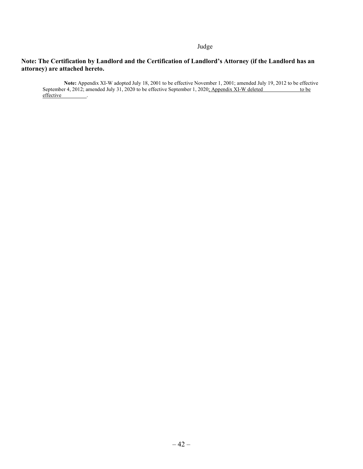#### Judge

#### **Note: The Certification by Landlord and the Certification of Landlord's Attorney (if the Landlord has an attorney) are attached hereto.**

**Note:** Appendix XI-W adopted July 18, 2001 to be effective November 1, 2001; amended July 19, 2012 to be effective September 4, 2012; amended July 31, 2020 to be effective September 1, 2020<u>; Appendix XI-W deleted to be</u> to be effective \_\_\_\_\_\_\_\_.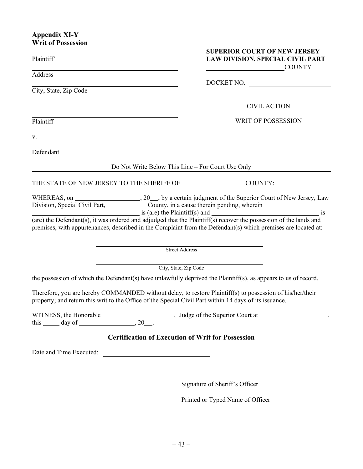## **Appendix XI-Y Writ of Possession**

| Plaintiff'                                                                                                                                                                                                                                                                                                      | <b>SUPERIOR COURT OF NEW JERSEY</b><br>LAW DIVISION, SPECIAL CIVIL PART<br><b>COUNTY</b> |
|-----------------------------------------------------------------------------------------------------------------------------------------------------------------------------------------------------------------------------------------------------------------------------------------------------------------|------------------------------------------------------------------------------------------|
| Address<br><u> 1989 - Johann Stoff, Amerikaansk politiker (</u>                                                                                                                                                                                                                                                 | DOCKET NO.                                                                               |
| City, State, Zip Code                                                                                                                                                                                                                                                                                           |                                                                                          |
|                                                                                                                                                                                                                                                                                                                 | <b>CIVIL ACTION</b>                                                                      |
| Plaintiff                                                                                                                                                                                                                                                                                                       | <b>WRIT OF POSSESSION</b>                                                                |
| V.                                                                                                                                                                                                                                                                                                              |                                                                                          |
| Defendant                                                                                                                                                                                                                                                                                                       |                                                                                          |
| Do Not Write Below This Line – For Court Use Only                                                                                                                                                                                                                                                               |                                                                                          |
| THE STATE OF NEW JERSEY TO THE SHERIFF OF ________________________ COUNTY:                                                                                                                                                                                                                                      |                                                                                          |
| Division, Special Civil Part, County, in a cause therein pending, wherein<br>(are) the Defendant(s), it was ordered and adjudged that the Plaintiff(s) recover the possession of the lands and<br>premises, with appurtenances, described in the Complaint from the Defendant(s) which premises are located at: | $\frac{1}{2}$ is (are) the Plaintiff(s) and $\frac{1}{2}$ is                             |
| <b>Street Address</b>                                                                                                                                                                                                                                                                                           |                                                                                          |
| City, State, Zip Code                                                                                                                                                                                                                                                                                           |                                                                                          |
| the possession of which the Defendant(s) have unlawfully deprived the Plaintiff(s), as appears to us of record.                                                                                                                                                                                                 |                                                                                          |
| Therefore, you are hereby COMMANDED without delay, to restore Plaintiff(s) to possession of his/her/their<br>property; and return this writ to the Office of the Special Civil Part within 14 days of its issuance.                                                                                             |                                                                                          |
|                                                                                                                                                                                                                                                                                                                 |                                                                                          |
| <b>Certification of Execution of Writ for Possession</b>                                                                                                                                                                                                                                                        |                                                                                          |
| Date and Time Executed:<br><u> Alexandria de la contrada de la contrada de la contrada de la contrada de la contrada de la contrada de la c</u>                                                                                                                                                                 |                                                                                          |
|                                                                                                                                                                                                                                                                                                                 |                                                                                          |

Signature of Sheriff's Officer

Printed or Typed Name of Officer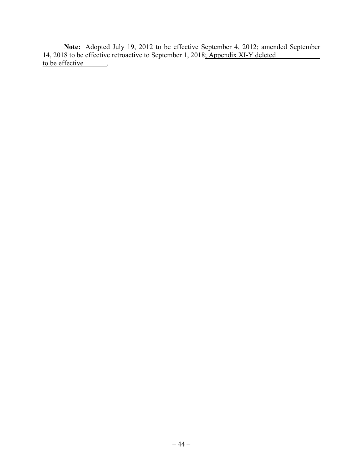**Note:** Adopted July 19, 2012 to be effective September 4, 2012; amended September 14, 2018 to be effective retroactive to September 1, 2018; Appendix XI-Y deleted to be effective ...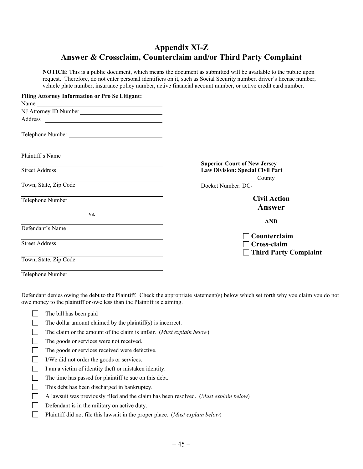# **Appendix XI-Z Answer & Crossclaim, Counterclaim and/or Third Party Complaint**

**NOTICE**: This is a public document, which means the document as submitted will be available to the public upon request. Therefore, do not enter personal identifiers on it, such as Social Security number, driver's license number, vehicle plate number, insurance policy number, active financial account number, or active credit card number.

| <b>Filing Attorney Information or Pro Se Litigant:</b>                                                                          |                                                                                |
|---------------------------------------------------------------------------------------------------------------------------------|--------------------------------------------------------------------------------|
|                                                                                                                                 |                                                                                |
| NJ Attorney ID Number                                                                                                           |                                                                                |
| Address<br><u> Alexandria de la contrada de la contrada de la contrada de la contrada de la contrada de la contrada de la c</u> |                                                                                |
| Telephone Number                                                                                                                |                                                                                |
| Plaintiff's Name                                                                                                                |                                                                                |
| <b>Street Address</b>                                                                                                           | <b>Superior Court of New Jersey</b><br><b>Law Division: Special Civil Part</b> |
| Town, State, Zip Code                                                                                                           | County<br>Docket Number: DC-                                                   |
| Telephone Number                                                                                                                | <b>Civil Action</b><br>Answer                                                  |
| VS.                                                                                                                             | <b>AND</b>                                                                     |
| Defendant's Name                                                                                                                | Counterclaim                                                                   |
| <b>Street Address</b>                                                                                                           | Cross-claim<br>$\Box$ Third Party Complaint                                    |
| Town, State, Zip Code                                                                                                           |                                                                                |

Telephone Number

Defendant denies owing the debt to the Plaintiff. Check the appropriate statement(s) below which set forth why you claim you do not owe money to the plaintiff or owe less than the Plaintiff is claiming.

- The bill has been paid
- $\Box$ The dollar amount claimed by the plaintiff(s) is incorrect.
- $\Box$ The claim or the amount of the claim is unfair. (*Must explain below*)
- $\Box$ The goods or services were not received.
- $\Box$ The goods or services received were defective.
- $\Box$ I/We did not order the goods or services.
- $\Box$ I am a victim of identity theft or mistaken identity.
- $\Box$ The time has passed for plaintiff to sue on this debt.
- $\Box$ This debt has been discharged in bankruptcy.
- $\Box$ A lawsuit was previously filed and the claim has been resolved. (*Must explain below*)
- $\Box$ Defendant is in the military on active duty.
- $\Box$ Plaintiff did not file this lawsuit in the proper place. (*Must explain below*)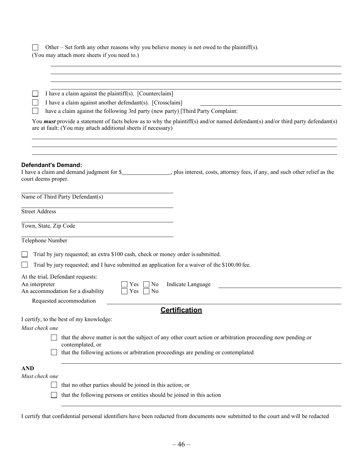| Other – Set forth any other reasons why you believe money is not owed to the plaintiff(s).<br>(You may attach more sheets if you need to.)                                                               |  |  |
|----------------------------------------------------------------------------------------------------------------------------------------------------------------------------------------------------------|--|--|
|                                                                                                                                                                                                          |  |  |
|                                                                                                                                                                                                          |  |  |
|                                                                                                                                                                                                          |  |  |
| I have a claim against the plaintiff(s). [Counterclaim]<br>I have a claim against another defendant(s). [Crossclaim]                                                                                     |  |  |
| have a claim against the following 3rd party (new party) [Third Party Complaint:                                                                                                                         |  |  |
| You <b>must</b> provide a statement of facts below as to why the plaintiff(s) and/or named defendant(s) and/or third party defendant(s)<br>are at fault: (You may attach additional sheets if necessary) |  |  |
|                                                                                                                                                                                                          |  |  |
| <b>Defendant's Demand:</b><br>I have a claim and demand judgment for \$__________________, plus interest, costs, attorney fees, if any, and such other relief as the<br>court deems proper.              |  |  |
| Name of Third Party Defendant(s)                                                                                                                                                                         |  |  |
| <b>Street Address</b>                                                                                                                                                                                    |  |  |
| Town, State, Zip Code                                                                                                                                                                                    |  |  |
| Telephone Number                                                                                                                                                                                         |  |  |
| Trial by jury requested; an extra \$100 cash, check or money order is submitted.                                                                                                                         |  |  |
| Trial by jury requested; and I have submitted an application for a waiver of the \$100.00 fee.                                                                                                           |  |  |
| At the trial, Defendant requests:<br>An interpreter<br>Indicate Language<br>$ $ No<br>Yes.<br>An accommodation for a disability<br>Yes<br>$\overline{N}$                                                 |  |  |
| Requested accommodation<br><b>Certification</b>                                                                                                                                                          |  |  |
| I certify, to the best of my knowledge:<br>Must check one                                                                                                                                                |  |  |
| that the above matter is not the subject of any other court action or arbitration proceeding now pending or                                                                                              |  |  |
| contemplated, or                                                                                                                                                                                         |  |  |
| that the following actions or arbitration proceedings are pending or contemplated                                                                                                                        |  |  |
| <b>AND</b>                                                                                                                                                                                               |  |  |
| Must check one                                                                                                                                                                                           |  |  |
| that no other parties should be joined in this action; or                                                                                                                                                |  |  |
| that the following persons or entities should be joined in this action                                                                                                                                   |  |  |

I certify that confidential personal identifiers have been redacted from documents now submitted to the court and will be redacted